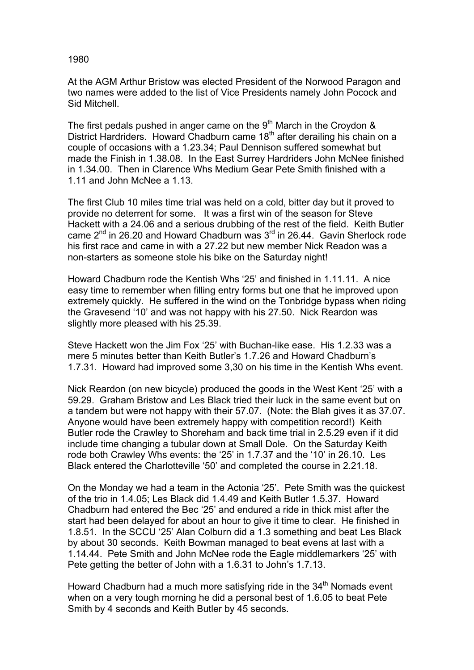## 1980

At the AGM Arthur Bristow was elected President of the Norwood Paragon and two names were added to the list of Vice Presidents namely John Pocock and Sid Mitchell.

The first pedals pushed in anger came on the  $9<sup>th</sup>$  March in the Croydon & District Hardriders. Howard Chadburn came 18<sup>th</sup> after derailing his chain on a couple of occasions with a 1.23.34; Paul Dennison suffered somewhat but made the Finish in 1.38.08. In the East Surrey Hardriders John McNee finished in 1.34.00. Then in Clarence Whs Medium Gear Pete Smith finished with a 1.11 and John McNee a 1.13.

The first Club 10 miles time trial was held on a cold, bitter day but it proved to provide no deterrent for some. It was a first win of the season for Steve Hackett with a 24.06 and a serious drubbing of the rest of the field. Keith Butler came  $2^{nd}$  in 26.20 and Howard Chadburn was  $3^{rd}$  in 26.44. Gavin Sherlock rode his first race and came in with a 27.22 but new member Nick Readon was a non-starters as someone stole his bike on the Saturday night!

Howard Chadburn rode the Kentish Whs '25' and finished in 1.11.11. A nice easy time to remember when filling entry forms but one that he improved upon extremely quickly. He suffered in the wind on the Tonbridge bypass when riding the Gravesend '10' and was not happy with his 27.50. Nick Reardon was slightly more pleased with his 25.39.

Steve Hackett won the Jim Fox '25' with Buchan-like ease. His 1.2.33 was a mere 5 minutes better than Keith Butler's 1.7.26 and Howard Chadburn's 1.7.31. Howard had improved some 3,30 on his time in the Kentish Whs event.

Nick Reardon (on new bicycle) produced the goods in the West Kent '25' with a 59.29. Graham Bristow and Les Black tried their luck in the same event but on a tandem but were not happy with their 57.07. (Note: the Blah gives it as 37.07. Anyone would have been extremely happy with competition record!) Keith Butler rode the Crawley to Shoreham and back time trial in 2.5.29 even if it did include time changing a tubular down at Small Dole. On the Saturday Keith rode both Crawley Whs events: the '25' in 1.7.37 and the '10' in 26.10. Les Black entered the Charlotteville '50' and completed the course in 2.21.18.

On the Monday we had a team in the Actonia '25'. Pete Smith was the quickest of the trio in 1.4.05; Les Black did 1.4.49 and Keith Butler 1.5.37. Howard Chadburn had entered the Bec '25' and endured a ride in thick mist after the start had been delayed for about an hour to give it time to clear. He finished in 1.8.51. In the SCCU '25' Alan Colburn did a 1.3 something and beat Les Black by about 30 seconds. Keith Bowman managed to beat evens at last with a 1.14.44. Pete Smith and John McNee rode the Eagle middlemarkers '25' with Pete getting the better of John with a 1.6.31 to John's 1.7.13.

Howard Chadburn had a much more satisfying ride in the  $34<sup>th</sup>$  Nomads event when on a very tough morning he did a personal best of 1.6.05 to beat Pete Smith by 4 seconds and Keith Butler by 45 seconds.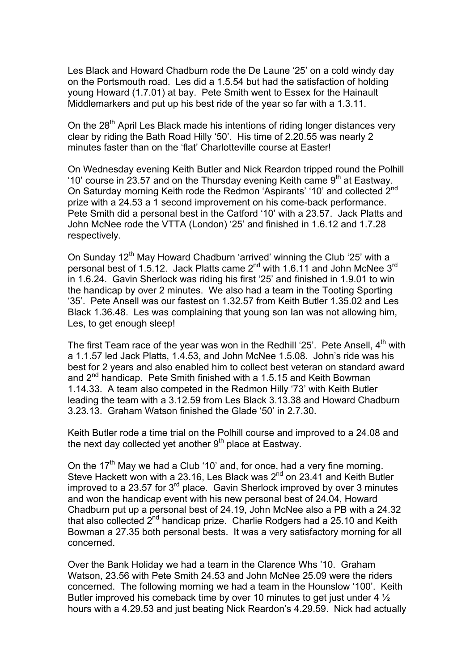Les Black and Howard Chadburn rode the De Laune '25' on a cold windy day on the Portsmouth road. Les did a 1.5.54 but had the satisfaction of holding young Howard (1.7.01) at bay. Pete Smith went to Essex for the Hainault Middlemarkers and put up his best ride of the year so far with a 1.3.11.

On the  $28<sup>th</sup>$  April Les Black made his intentions of riding longer distances very clear by riding the Bath Road Hilly '50'. His time of 2.20.55 was nearly 2 minutes faster than on the 'flat' Charlotteville course at Easter!

On Wednesday evening Keith Butler and Nick Reardon tripped round the Polhill '10' course in 23.57 and on the Thursday evening Keith came  $9<sup>th</sup>$  at Eastway. On Saturday morning Keith rode the Redmon 'Aspirants' '10' and collected 2<sup>nd</sup> prize with a 24.53 a 1 second improvement on his come-back performance. Pete Smith did a personal best in the Catford '10' with a 23.57. Jack Platts and John McNee rode the VTTA (London) '25' and finished in 1.6.12 and 1.7.28 respectively.

On Sunday 12<sup>th</sup> May Howard Chadburn 'arrived' winning the Club '25' with a personal best of 1.5.12. Jack Platts came  $2^{nd}$  with 1.6.11 and John McNee  $3^{rd}$ in 1.6.24. Gavin Sherlock was riding his first '25' and finished in 1.9.01 to win the handicap by over 2 minutes. We also had a team in the Tooting Sporting '35'. Pete Ansell was our fastest on 1.32.57 from Keith Butler 1.35.02 and Les Black 1.36.48. Les was complaining that young son Ian was not allowing him, Les, to get enough sleep!

The first Team race of the year was won in the Redhill '25'. Pete Ansell,  $4<sup>th</sup>$  with a 1.1.57 led Jack Platts, 1.4.53, and John McNee 1.5.08. John's ride was his best for 2 years and also enabled him to collect best veteran on standard award and 2<sup>nd</sup> handicap. Pete Smith finished with a 1.5.15 and Keith Bowman 1.14.33. A team also competed in the Redmon Hilly '73' with Keith Butler leading the team with a 3.12.59 from Les Black 3.13.38 and Howard Chadburn 3.23.13. Graham Watson finished the Glade '50' in 2.7.30.

Keith Butler rode a time trial on the Polhill course and improved to a 24.08 and the next day collected yet another  $9<sup>th</sup>$  place at Eastway.

On the 17<sup>th</sup> May we had a Club '10' and, for once, had a very fine morning. Steve Hackett won with a 23.16, Les Black was  $2^{nd}$  on 23.41 and Keith Butler improved to a 23.57 for  $3<sup>rd</sup>$  place. Gavin Sherlock improved by over 3 minutes and won the handicap event with his new personal best of 24.04, Howard Chadburn put up a personal best of 24.19, John McNee also a PB with a 24.32 that also collected  $2^{nd}$  handicap prize. Charlie Rodgers had a 25.10 and Keith Bowman a 27.35 both personal bests. It was a very satisfactory morning for all concerned.

Over the Bank Holiday we had a team in the Clarence Whs '10. Graham Watson, 23.56 with Pete Smith 24.53 and John McNee 25.09 were the riders concerned. The following morning we had a team in the Hounslow '100'. Keith Butler improved his comeback time by over 10 minutes to get just under 4  $\frac{1}{2}$ hours with a 4.29.53 and just beating Nick Reardon's 4.29.59. Nick had actually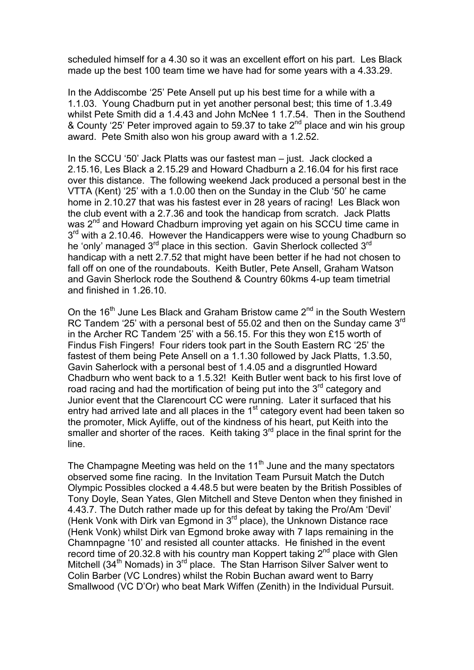scheduled himself for a 4.30 so it was an excellent effort on his part. Les Black made up the best 100 team time we have had for some years with a 4.33.29.

In the Addiscombe '25' Pete Ansell put up his best time for a while with a 1.1.03. Young Chadburn put in yet another personal best; this time of 1.3.49 whilst Pete Smith did a 1.4.43 and John McNee 1 1.7.54. Then in the Southend & County '25' Peter improved again to 59.37 to take  $2^{nd}$  place and win his group award. Pete Smith also won his group award with a 1.2.52.

In the SCCU '50' Jack Platts was our fastest man – just. Jack clocked a 2.15.16, Les Black a 2.15.29 and Howard Chadburn a 2.16.04 for his first race over this distance. The following weekend Jack produced a personal best in the VTTA (Kent) '25' with a 1.0.00 then on the Sunday in the Club '50' he came home in 2.10.27 that was his fastest ever in 28 years of racing! Les Black won the club event with a 2.7.36 and took the handicap from scratch. Jack Platts was 2<sup>nd</sup> and Howard Chadburn improving yet again on his SCCU time came in  $3<sup>rd</sup>$  with a 2.10.46. However the Handicappers were wise to young Chadburn so he 'only' managed 3<sup>rd</sup> place in this section. Gavin Sherlock collected 3<sup>rd</sup> handicap with a nett 2.7.52 that might have been better if he had not chosen to fall off on one of the roundabouts. Keith Butler, Pete Ansell, Graham Watson and Gavin Sherlock rode the Southend & Country 60kms 4-up team timetrial and finished in 1.26.10.

On the 16<sup>th</sup> June Les Black and Graham Bristow came 2<sup>nd</sup> in the South Western RC Tandem '25' with a personal best of 55.02 and then on the Sunday came  $3<sup>rd</sup>$ in the Archer RC Tandem '25' with a 56.15. For this they won £15 worth of Findus Fish Fingers! Four riders took part in the South Eastern RC '25' the fastest of them being Pete Ansell on a 1.1.30 followed by Jack Platts, 1.3.50, Gavin Saherlock with a personal best of 1.4.05 and a disgruntled Howard Chadburn who went back to a 1.5.32! Keith Butler went back to his first love of road racing and had the mortification of being put into the 3<sup>rd</sup> category and Junior event that the Clarencourt CC were running. Later it surfaced that his entry had arrived late and all places in the  $1<sup>st</sup>$  category event had been taken so the promoter, Mick Ayliffe, out of the kindness of his heart, put Keith into the smaller and shorter of the races. Keith taking  $3<sup>rd</sup>$  place in the final sprint for the line.

The Champagne Meeting was held on the 11<sup>th</sup> June and the many spectators observed some fine racing. In the Invitation Team Pursuit Match the Dutch Olympic Possibles clocked a 4.48.5 but were beaten by the British Possibles of Tony Doyle, Sean Yates, Glen Mitchell and Steve Denton when they finished in 4.43.7. The Dutch rather made up for this defeat by taking the Pro/Am 'Devil' (Henk Vonk with Dirk van Egmond in  $3<sup>rd</sup>$  place), the Unknown Distance race (Henk Vonk) whilst Dirk van Egmond broke away with 7 laps remaining in the Chamnpagne '10' and resisted all counter attacks. He finished in the event record time of 20.32.8 with his country man Koppert taking  $2^{nd}$  place with Glen Mitchell (34<sup>th</sup> Nomads) in  $3<sup>rd</sup>$  place. The Stan Harrison Silver Salver went to Colin Barber (VC Londres) whilst the Robin Buchan award went to Barry Smallwood (VC D'Or) who beat Mark Wiffen (Zenith) in the Individual Pursuit.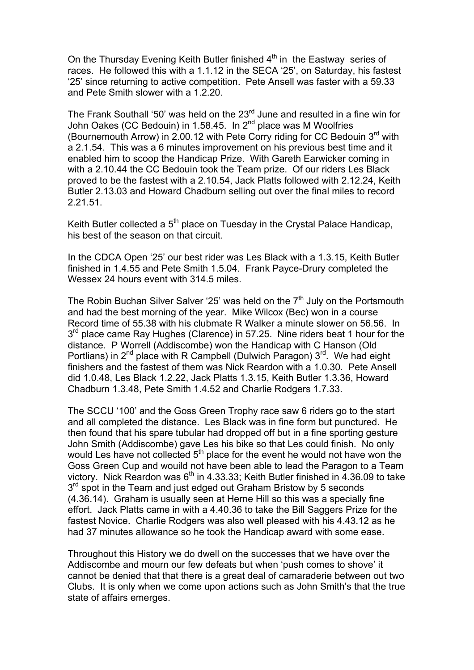On the Thursday Evening Keith Butler finished  $4<sup>th</sup>$  in the Eastway series of races. He followed this with a 1.1.12 in the SECA '25', on Saturday, his fastest '25' since returning to active competition. Pete Ansell was faster with a 59.33 and Pete Smith slower with a 1.2.20.

The Frank Southall '50' was held on the  $23<sup>rd</sup>$  June and resulted in a fine win for John Oakes (CC Bedouin) in 1.58.45. In 2<sup>nd</sup> place was M Woolfries (Bournemouth Arrow) in 2.00.12 with Pete Corry riding for CC Bedouin  $3<sup>rd</sup>$  with a 2.1.54. This was a 6 minutes improvement on his previous best time and it enabled him to scoop the Handicap Prize. With Gareth Earwicker coming in with a 2.10.44 the CC Bedouin took the Team prize. Of our riders Les Black proved to be the fastest with a 2.10.54, Jack Platts followed with 2.12.24, Keith Butler 2.13.03 and Howard Chadburn selling out over the final miles to record 2.21.51.

Keith Butler collected a 5<sup>th</sup> place on Tuesday in the Crystal Palace Handicap, his best of the season on that circuit.

In the CDCA Open '25' our best rider was Les Black with a 1.3.15, Keith Butler finished in 1.4.55 and Pete Smith 1.5.04. Frank Payce-Drury completed the Wessex 24 hours event with 314.5 miles.

The Robin Buchan Silver Salver '25' was held on the 7<sup>th</sup> July on the Portsmouth and had the best morning of the year. Mike Wilcox (Bec) won in a course Record time of 55.38 with his clubmate R Walker a minute slower on 56.56. In  $3<sup>rd</sup>$  place came Ray Hughes (Clarence) in 57.25. Nine riders beat 1 hour for the distance. P Worrell (Addiscombe) won the Handicap with C Hanson (Old Portlians) in  $2^{nd}$  place with R Campbell (Dulwich Paragon)  $3^{rd}$ . We had eight finishers and the fastest of them was Nick Reardon with a 1.0.30. Pete Ansell did 1.0.48, Les Black 1.2.22, Jack Platts 1.3.15, Keith Butler 1.3.36, Howard Chadburn 1.3.48, Pete Smith 1.4.52 and Charlie Rodgers 1.7.33.

The SCCU '100' and the Goss Green Trophy race saw 6 riders go to the start and all completed the distance. Les Black was in fine form but punctured. He then found that his spare tubular had dropped off but in a fine sporting gesture John Smith (Addiscombe) gave Les his bike so that Les could finish. No only would Les have not collected 5<sup>th</sup> place for the event he would not have won the Goss Green Cup and wouild not have been able to lead the Paragon to a Team victory. Nick Reardon was  $6<sup>th</sup>$  in 4.33.33; Keith Butler finished in 4.36.09 to take  $3<sup>rd</sup>$  spot in the Team and just edged out Graham Bristow by 5 seconds (4.36.14). Graham is usually seen at Herne Hill so this was a specially fine effort. Jack Platts came in with a 4.40.36 to take the Bill Saggers Prize for the fastest Novice. Charlie Rodgers was also well pleased with his 4.43.12 as he had 37 minutes allowance so he took the Handicap award with some ease.

Throughout this History we do dwell on the successes that we have over the Addiscombe and mourn our few defeats but when 'push comes to shove' it cannot be denied that that there is a great deal of camaraderie between out two Clubs. It is only when we come upon actions such as John Smith's that the true state of affairs emerges.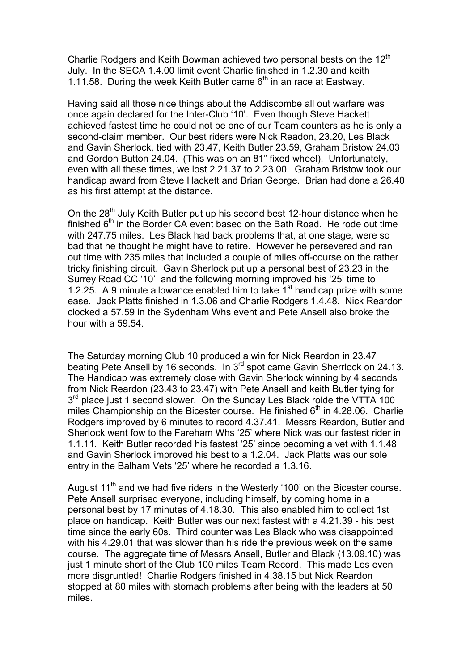Charlie Rodgers and Keith Bowman achieved two personal bests on the  $12<sup>th</sup>$ July. In the SECA 1.4.00 limit event Charlie finished in 1.2.30 and keith 1.11.58. During the week Keith Butler came  $6<sup>th</sup>$  in an race at Eastway.

Having said all those nice things about the Addiscombe all out warfare was once again declared for the Inter-Club '10'. Even though Steve Hackett achieved fastest time he could not be one of our Team counters as he is only a second-claim member. Our best riders were Nick Readon, 23.20, Les Black and Gavin Sherlock, tied with 23.47, Keith Butler 23.59, Graham Bristow 24.03 and Gordon Button 24.04. (This was on an 81" fixed wheel). Unfortunately, even with all these times, we lost 2.21.37 to 2.23.00. Graham Bristow took our handicap award from Steve Hackett and Brian George. Brian had done a 26.40 as his first attempt at the distance.

On the 28<sup>th</sup> July Keith Butler put up his second best 12-hour distance when he finished  $6<sup>th</sup>$  in the Border CA event based on the Bath Road. He rode out time with 247.75 miles. Les Black had back problems that, at one stage, were so bad that he thought he might have to retire. However he persevered and ran out time with 235 miles that included a couple of miles off-course on the rather tricky finishing circuit. Gavin Sherlock put up a personal best of 23.23 in the Surrey Road CC '10' and the following morning improved his '25' time to 1.2.25. A 9 minute allowance enabled him to take  $1<sup>st</sup>$  handicap prize with some ease. Jack Platts finished in 1.3.06 and Charlie Rodgers 1.4.48. Nick Reardon clocked a 57.59 in the Sydenham Whs event and Pete Ansell also broke the hour with a 59.54.

The Saturday morning Club 10 produced a win for Nick Reardon in 23.47 beating Pete Ansell by 16 seconds. In 3<sup>rd</sup> spot came Gavin Sherrlock on 24.13. The Handicap was extremely close with Gavin Sherlock winning by 4 seconds from Nick Reardon (23.43 to 23.47) with Pete Ansell and keith Butler tying for 3<sup>rd</sup> place just 1 second slower. On the Sunday Les Black roide the VTTA 100 miles Championship on the Bicester course. He finished  $6<sup>th</sup>$  in 4.28.06. Charlie Rodgers improved by 6 minutes to record 4.37.41. Messrs Reardon, Butler and Sherlock went fow to the Fareham Whs '25' where Nick was our fastest rider in 1.1.11. Keith Butler recorded his fastest '25' since becoming a vet with 1.1.48 and Gavin Sherlock improved his best to a 1.2.04. Jack Platts was our sole entry in the Balham Vets '25' where he recorded a 1.3.16.

August  $11<sup>th</sup>$  and we had five riders in the Westerly '100' on the Bicester course. Pete Ansell surprised everyone, including himself, by coming home in a personal best by 17 minutes of 4.18.30. This also enabled him to collect 1st place on handicap. Keith Butler was our next fastest with a 4.21.39 - his best time since the early 60s. Third counter was Les Black who was disappointed with his 4.29.01 that was slower than his ride the previous week on the same course. The aggregate time of Messrs Ansell, Butler and Black (13.09.10) was just 1 minute short of the Club 100 miles Team Record. This made Les even more disgruntled! Charlie Rodgers finished in 4.38.15 but Nick Reardon stopped at 80 miles with stomach problems after being with the leaders at 50 miles.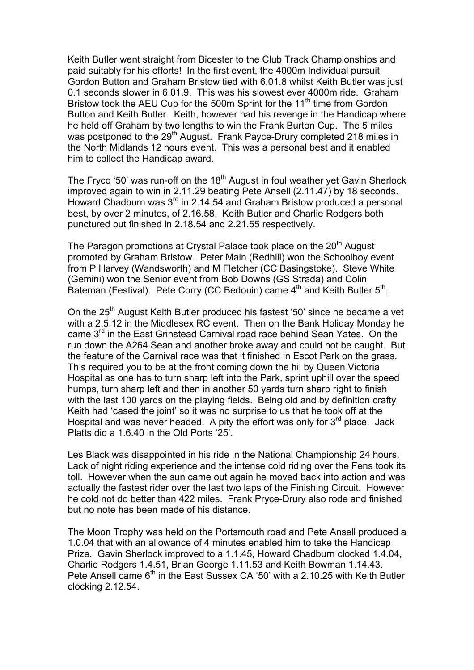Keith Butler went straight from Bicester to the Club Track Championships and paid suitably for his efforts! In the first event, the 4000m Individual pursuit Gordon Button and Graham Bristow tied with 6.01.8 whilst Keith Butler was just 0.1 seconds slower in 6.01.9. This was his slowest ever 4000m ride. Graham Bristow took the AEU Cup for the 500m Sprint for the  $11<sup>th</sup>$  time from Gordon Button and Keith Butler. Keith, however had his revenge in the Handicap where he held off Graham by two lengths to win the Frank Burton Cup. The 5 miles was postponed to the 29<sup>th</sup> August. Frank Payce-Drury completed 218 miles in the North Midlands 12 hours event. This was a personal best and it enabled him to collect the Handicap award.

The Fryco '50' was run-off on the  $18<sup>th</sup>$  August in foul weather yet Gavin Sherlock improved again to win in 2.11.29 beating Pete Ansell (2.11.47) by 18 seconds. Howard Chadburn was  $3^{rd}$  in 2.14.54 and Graham Bristow produced a personal best, by over 2 minutes, of 2.16.58. Keith Butler and Charlie Rodgers both punctured but finished in 2.18.54 and 2.21.55 respectively.

The Paragon promotions at Crystal Palace took place on the 20<sup>th</sup> August promoted by Graham Bristow. Peter Main (Redhill) won the Schoolboy event from P Harvey (Wandsworth) and M Fletcher (CC Basingstoke). Steve White (Gemini) won the Senior event from Bob Downs (GS Strada) and Colin Bateman (Festival). Pete Corry (CC Bedouin) came  $4<sup>th</sup>$  and Keith Butler  $5<sup>th</sup>$ .

On the 25<sup>th</sup> August Keith Butler produced his fastest '50' since he became a vet with a 2.5.12 in the Middlesex RC event. Then on the Bank Holiday Monday he came 3<sup>rd</sup> in the East Grinstead Carnival road race behind Sean Yates. On the run down the A264 Sean and another broke away and could not be caught. But the feature of the Carnival race was that it finished in Escot Park on the grass. This required you to be at the front coming down the hil by Queen Victoria Hospital as one has to turn sharp left into the Park, sprint uphill over the speed humps, turn sharp left and then in another 50 yards turn sharp right to finish with the last 100 yards on the playing fields. Being old and by definition crafty Keith had 'cased the joint' so it was no surprise to us that he took off at the Hospital and was never headed. A pity the effort was only for  $3<sup>rd</sup>$  place. Jack Platts did a 1.6.40 in the Old Ports '25'.

Les Black was disappointed in his ride in the National Championship 24 hours. Lack of night riding experience and the intense cold riding over the Fens took its toll. However when the sun came out again he moved back into action and was actually the fastest rider over the last two laps of the Finishing Circuit. However he cold not do better than 422 miles. Frank Pryce-Drury also rode and finished but no note has been made of his distance.

The Moon Trophy was held on the Portsmouth road and Pete Ansell produced a 1.0.04 that with an allowance of 4 minutes enabled him to take the Handicap Prize. Gavin Sherlock improved to a 1.1.45, Howard Chadburn clocked 1.4.04, Charlie Rodgers 1.4.51, Brian George 1.11.53 and Keith Bowman 1.14.43. Pete Ansell came 6<sup>th</sup> in the East Sussex CA '50' with a 2.10.25 with Keith Butler clocking 2.12.54.